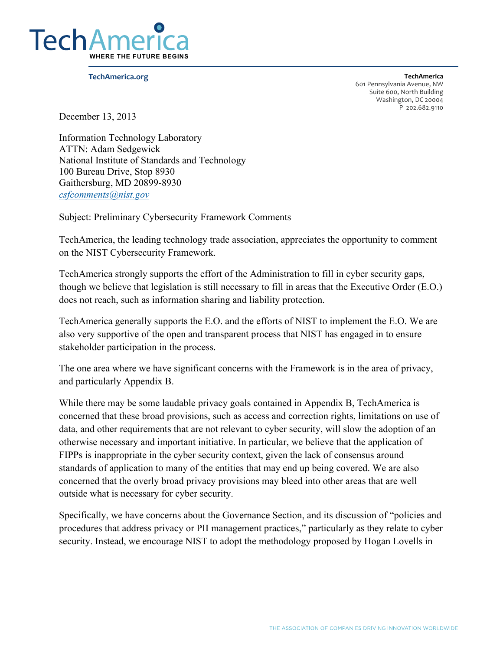

**!"#\$%&"'(#)\*+', TechAmerica** 

601 Pennsylvania Avenue, NW Suite 600, North Building Washington, DC 20004 P 202.682.9110

December 13, 2013

 *csfcomments@nist.gov* Information Technology Laboratory ATTN: Adam Sedgewick National Institute of Standards and Technology 100 Bureau Drive, Stop 8930 Gaithersburg, MD 20899-8930

Subject: Preliminary Cybersecurity Framework Comments

 TechAmerica, the leading technology trade association, appreciates the opportunity to comment on the NIST Cybersecurity Framework.

TechAmerica strongly supports the effort of the Administration to fill in cyber security gaps, though we believe that legislation is still necessary to fill in areas that the Executive Order (E.O.) does not reach, such as information sharing and liability protection.

 TechAmerica generally supports the E.O. and the efforts of NIST to implement the E.O. We are also very supportive of the open and transparent process that NIST has engaged in to ensure stakeholder participation in the process.

The one area where we have significant concerns with the Framework is in the area of privacy, and particularly Appendix B.

 data, and other requirements that are not relevant to cyber security, will slow the adoption of an FIPPs is inappropriate in the cyber security context, given the lack of consensus around outside what is necessary for cyber security. While there may be some laudable privacy goals contained in Appendix B, TechAmerica is concerned that these broad provisions, such as access and correction rights, limitations on use of otherwise necessary and important initiative. In particular, we believe that the application of standards of application to many of the entities that may end up being covered. We are also concerned that the overly broad privacy provisions may bleed into other areas that are well

Specifically, we have concerns about the Governance Section, and its discussion of "policies and procedures that address privacy or PII management practices," particularly as they relate to cyber security. Instead, we encourage NIST to adopt the methodology proposed by Hogan Lovells in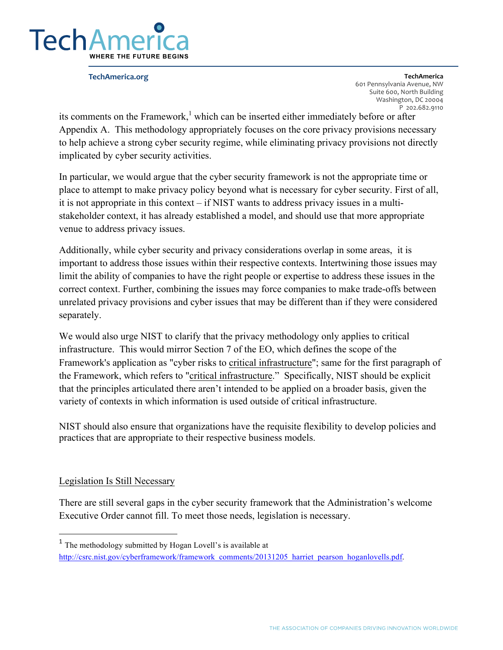

**!"#\$%&"'(#)\*+', TechAmerica**  601 Pennsylvania Avenue, NW Suite 600, North Building Washington, DC 20004 P 202.682.9110

 Appendix A. This methodology appropriately focuses on the core privacy provisions necessary its comments on the Framework, $<sup>1</sup>$  which can be inserted either immediately before or after</sup> to help achieve a strong cyber security regime, while eliminating privacy provisions not directly implicated by cyber security activities.

 it is not appropriate in this context – if NIST wants to address privacy issues in a multi-In particular, we would argue that the cyber security framework is not the appropriate time or place to attempt to make privacy policy beyond what is necessary for cyber security. First of all, stakeholder context, it has already established a model, and should use that more appropriate venue to address privacy issues.

 Additionally, while cyber security and privacy considerations overlap in some areas, it is important to address those issues within their respective contexts. Intertwining those issues may limit the ability of companies to have the right people or expertise to address these issues in the correct context. Further, combining the issues may force companies to make trade-offs between unrelated privacy provisions and cyber issues that may be different than if they were considered separately.

 We would also urge NIST to clarify that the privacy methodology only applies to critical infrastructure. This would mirror Section 7 of the EO, which defines the scope of the the Framework, which refers to "critical infrastructure." Specifically, NIST should be explicit Framework's application as "cyber risks to critical infrastructure"; same for the first paragraph of that the principles articulated there aren't intended to be applied on a broader basis, given the variety of contexts in which information is used outside of critical infrastructure.

 NIST should also ensure that organizations have the requisite flexibility to develop policies and practices that are appropriate to their respective business models.

## Legislation Is Still Necessary

 There are still several gaps in the cyber security framework that the Administration's welcome Executive Order cannot fill. To meet those needs, legislation is necessary.

 $1$  The methodology submitted by Hogan Lovell's is available at http://csrc.nist.gov/cyberframework/framework\_comments/20131205\_harriet\_pearson\_hoganlovells.pdf.